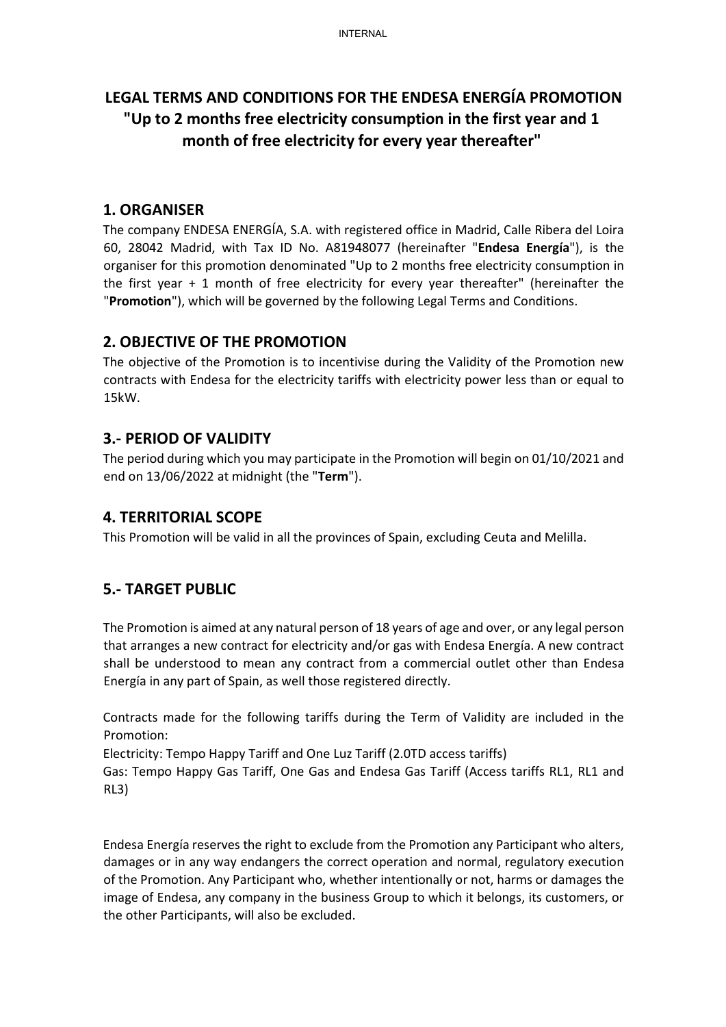# LEGAL TERMS AND CONDITIONS FOR THE ENDESA ENERGÍA PROMOTION "Up to 2 months free electricity consumption in the first year and 1 month of free electricity for every year thereafter"

#### 1. ORGANISER

The company ENDESA ENERGÍA, S.A. with registered office in Madrid, Calle Ribera del Loira 60, 28042 Madrid, with Tax ID No. A81948077 (hereinafter "Endesa Energía"), is the organiser for this promotion denominated "Up to 2 months free electricity consumption in the first year + 1 month of free electricity for every year thereafter" (hereinafter the "Promotion"), which will be governed by the following Legal Terms and Conditions.

#### 2. OBJECTIVE OF THE PROMOTION

The objective of the Promotion is to incentivise during the Validity of the Promotion new contracts with Endesa for the electricity tariffs with electricity power less than or equal to 15kW.

### 3.- PERIOD OF VALIDITY

The period during which you may participate in the Promotion will begin on 01/10/2021 and end on 13/06/2022 at midnight (the "Term").

#### 4. TERRITORIAL SCOPE

This Promotion will be valid in all the provinces of Spain, excluding Ceuta and Melilla.

## 5.- TARGET PUBLIC

The Promotion is aimed at any natural person of 18 years of age and over, or any legal person that arranges a new contract for electricity and/or gas with Endesa Energía. A new contract shall be understood to mean any contract from a commercial outlet other than Endesa Energía in any part of Spain, as well those registered directly.

Contracts made for the following tariffs during the Term of Validity are included in the Promotion:

Electricity: Tempo Happy Tariff and One Luz Tariff (2.0TD access tariffs)

Gas: Tempo Happy Gas Tariff, One Gas and Endesa Gas Tariff (Access tariffs RL1, RL1 and RL3)

Endesa Energía reserves the right to exclude from the Promotion any Participant who alters, damages or in any way endangers the correct operation and normal, regulatory execution of the Promotion. Any Participant who, whether intentionally or not, harms or damages the image of Endesa, any company in the business Group to which it belongs, its customers, or the other Participants, will also be excluded.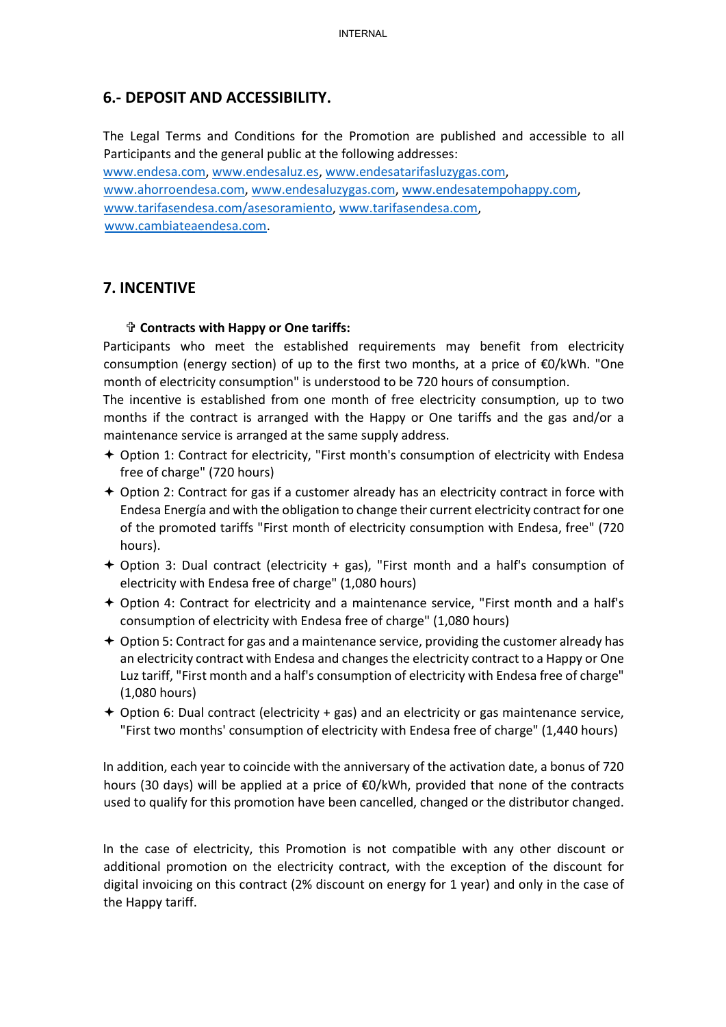## 6.- DEPOSIT AND ACCESSIBILITY.

The Legal Terms and Conditions for the Promotion are published and accessible to all Participants and the general public at the following addresses:

www.endesa.com, www.endesaluz.es, www.endesatarifasluzygas.com, www.ahorroendesa.com, www.endesaluzygas.com, www.endesatempohappy.com, www.tarifasendesa.com/asesoramiento, www.tarifasendesa.com, www.cambiateaendesa.com.

### 7. INCENTIVE

#### Contracts with Happy or One tariffs:

Participants who meet the established requirements may benefit from electricity consumption (energy section) of up to the first two months, at a price of  $\epsilon$ 0/kWh. "One month of electricity consumption" is understood to be 720 hours of consumption.

The incentive is established from one month of free electricity consumption, up to two months if the contract is arranged with the Happy or One tariffs and the gas and/or a maintenance service is arranged at the same supply address.

- $\div$  Option 1: Contract for electricity, "First month's consumption of electricity with Endesa free of charge" (720 hours)
- $\div$  Option 2: Contract for gas if a customer already has an electricity contract in force with Endesa Energía and with the obligation to change their current electricity contract for one of the promoted tariffs "First month of electricity consumption with Endesa, free" (720 hours).
- Option 3: Dual contract (electricity + gas), "First month and a half's consumption of electricity with Endesa free of charge" (1,080 hours)
- $\div$  Option 4: Contract for electricity and a maintenance service, "First month and a half's consumption of electricity with Endesa free of charge" (1,080 hours)
- $\div$  Option 5: Contract for gas and a maintenance service, providing the customer already has an electricity contract with Endesa and changes the electricity contract to a Happy or One Luz tariff, "First month and a half's consumption of electricity with Endesa free of charge" (1,080 hours)
- Option 6: Dual contract (electricity + gas) and an electricity or gas maintenance service, "First two months' consumption of electricity with Endesa free of charge" (1,440 hours)

In addition, each year to coincide with the anniversary of the activation date, a bonus of 720 hours (30 days) will be applied at a price of €0/kWh, provided that none of the contracts used to qualify for this promotion have been cancelled, changed or the distributor changed.

In the case of electricity, this Promotion is not compatible with any other discount or additional promotion on the electricity contract, with the exception of the discount for digital invoicing on this contract (2% discount on energy for 1 year) and only in the case of the Happy tariff.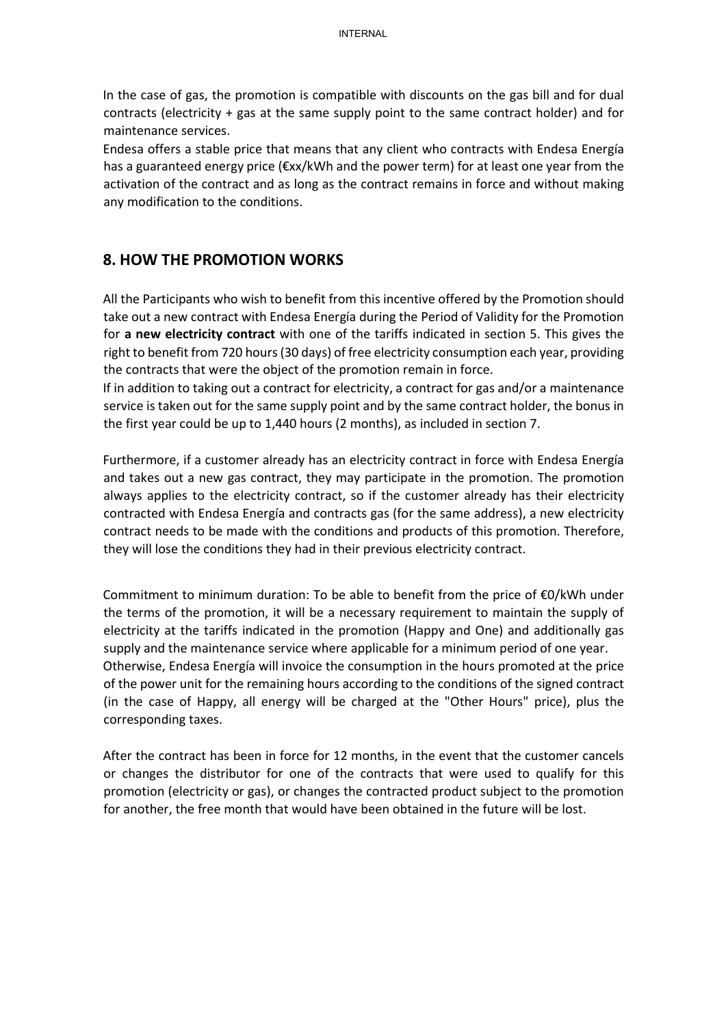In the case of gas, the promotion is compatible with discounts on the gas bill and for dual contracts (electricity + gas at the same supply point to the same contract holder) and for maintenance services.

Endesa offers a stable price that means that any client who contracts with Endesa Energía has a guaranteed energy price (€xx/kWh and the power term) for at least one year from the activation of the contract and as long as the contract remains in force and without making any modification to the conditions.

#### 8. HOW THE PROMOTION WORKS

All the Participants who wish to benefit from this incentive offered by the Promotion should take out a new contract with Endesa Energía during the Period of Validity for the Promotion for a new electricity contract with one of the tariffs indicated in section 5. This gives the right to benefit from 720 hours (30 days) of free electricity consumption each year, providing the contracts that were the object of the promotion remain in force.

If in addition to taking out a contract for electricity, a contract for gas and/or a maintenance service is taken out for the same supply point and by the same contract holder, the bonus in the first year could be up to 1,440 hours (2 months), as included in section 7.

Furthermore, if a customer already has an electricity contract in force with Endesa Energía and takes out a new gas contract, they may participate in the promotion. The promotion always applies to the electricity contract, so if the customer already has their electricity contracted with Endesa Energía and contracts gas (for the same address), a new electricity contract needs to be made with the conditions and products of this promotion. Therefore, they will lose the conditions they had in their previous electricity contract.

Commitment to minimum duration: To be able to benefit from the price of €0/kWh under the terms of the promotion, it will be a necessary requirement to maintain the supply of electricity at the tariffs indicated in the promotion (Happy and One) and additionally gas supply and the maintenance service where applicable for a minimum period of one year. Otherwise, Endesa Energía will invoice the consumption in the hours promoted at the price of the power unit for the remaining hours according to the conditions of the signed contract (in the case of Happy, all energy will be charged at the "Other Hours" price), plus the corresponding taxes.

After the contract has been in force for 12 months, in the event that the customer cancels or changes the distributor for one of the contracts that were used to qualify for this promotion (electricity or gas), or changes the contracted product subject to the promotion for another, the free month that would have been obtained in the future will be lost.